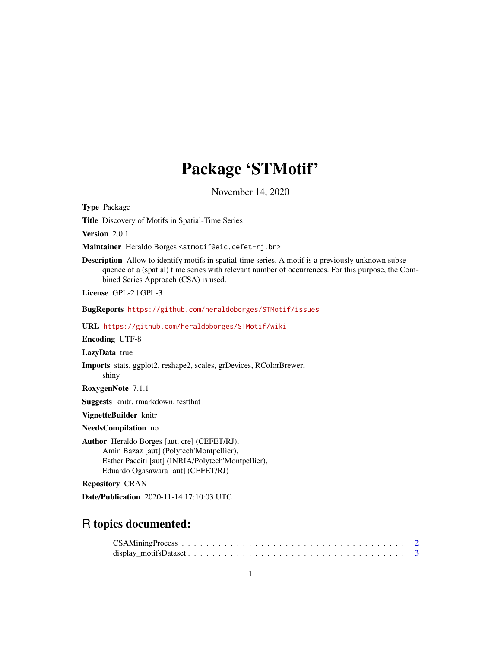# Package 'STMotif'

November 14, 2020

Type Package

Title Discovery of Motifs in Spatial-Time Series

Version 2.0.1

Maintainer Heraldo Borges <stmotif@eic.cefet-rj.br>

Description Allow to identify motifs in spatial-time series. A motif is a previously unknown subsequence of a (spatial) time series with relevant number of occurrences. For this purpose, the Combined Series Approach (CSA) is used.

License GPL-2 | GPL-3

BugReports <https://github.com/heraldoborges/STMotif/issues>

URL <https://github.com/heraldoborges/STMotif/wiki>

Encoding UTF-8

LazyData true

Imports stats, ggplot2, reshape2, scales, grDevices, RColorBrewer,

RoxygenNote 7.1.1

shiny

Suggests knitr, rmarkdown, testthat

VignetteBuilder knitr

NeedsCompilation no

Author Heraldo Borges [aut, cre] (CEFET/RJ), Amin Bazaz [aut] (Polytech'Montpellier), Esther Pacciti [aut] (INRIA/Polytech'Montpellier), Eduardo Ogasawara [aut] (CEFET/RJ)

Repository CRAN

Date/Publication 2020-11-14 17:10:03 UTC

# R topics documented:

| $CSAMining Process \dots \dots \dots \dots \dots \dots \dots \dots \dots \dots \dots \dots \dots \dots \dots \dots$ |  |  |  |  |  |  |  |  |  |  |  |  |  |  |  |  |  |  |
|---------------------------------------------------------------------------------------------------------------------|--|--|--|--|--|--|--|--|--|--|--|--|--|--|--|--|--|--|
|                                                                                                                     |  |  |  |  |  |  |  |  |  |  |  |  |  |  |  |  |  |  |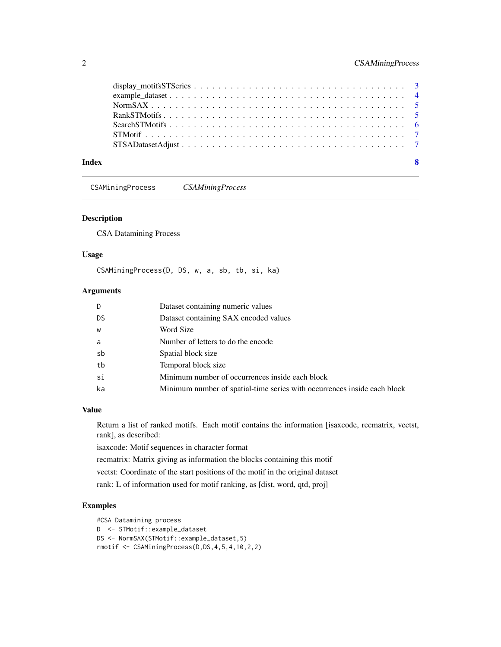<span id="page-1-0"></span>

CSAMiningProcess *CSAMiningProcess*

# Description

CSA Datamining Process

#### Usage

CSAMiningProcess(D, DS, w, a, sb, tb, si, ka)

#### Arguments

|    | Dataset containing numeric values                                        |
|----|--------------------------------------------------------------------------|
| DS | Dataset containing SAX encoded values                                    |
| W  | Word Size                                                                |
| a  | Number of letters to do the encode                                       |
| sb | Spatial block size                                                       |
| tb | Temporal block size                                                      |
| si | Minimum number of occurrences inside each block                          |
| ka | Minimum number of spatial-time series with occurrences inside each block |

# Value

Return a list of ranked motifs. Each motif contains the information [isaxcode, recmatrix, vectst, rank], as described:

isaxcode: Motif sequences in character format

recmatrix: Matrix giving as information the blocks containing this motif

vectst: Coordinate of the start positions of the motif in the original dataset

rank: L of information used for motif ranking, as [dist, word, qtd, proj]

# Examples

#CSA Datamining process D <- STMotif::example\_dataset DS <- NormSAX(STMotif::example\_dataset,5) rmotif <- CSAMiningProcess(D,DS,4,5,4,10,2,2)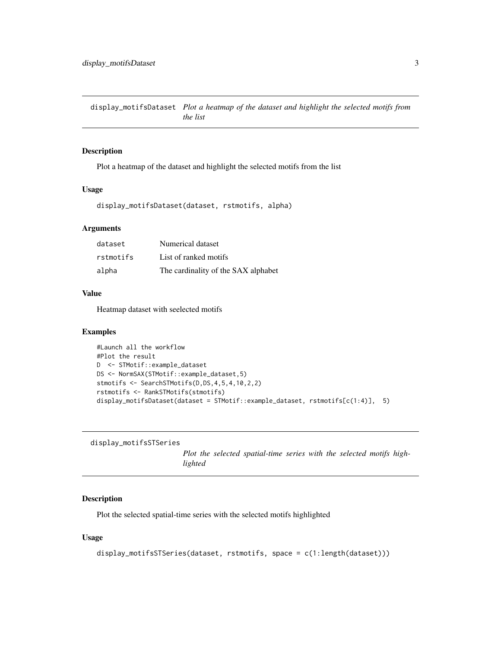<span id="page-2-0"></span>display\_motifsDataset *Plot a heatmap of the dataset and highlight the selected motifs from the list*

#### Description

Plot a heatmap of the dataset and highlight the selected motifs from the list

#### Usage

display\_motifsDataset(dataset, rstmotifs, alpha)

# Arguments

| dataset   | Numerical dataset                   |
|-----------|-------------------------------------|
| rstmotifs | List of ranked motifs               |
| alpha     | The cardinality of the SAX alphabet |

#### Value

Heatmap dataset with seelected motifs

#### Examples

```
#Launch all the workflow
#Plot the result
D <- STMotif::example_dataset
DS <- NormSAX(STMotif::example_dataset,5)
stmotifs <- SearchSTMotifs(D,DS,4,5,4,10,2,2)
rstmotifs <- RankSTMotifs(stmotifs)
display_motifsDataset(dataset = STMotif::example_dataset, rstmotifs[c(1:4)], 5)
```

```
display_motifsSTSeries
```
*Plot the selected spatial-time series with the selected motifs highlighted*

# Description

Plot the selected spatial-time series with the selected motifs highlighted

#### Usage

display\_motifsSTSeries(dataset, rstmotifs, space = c(1:length(dataset)))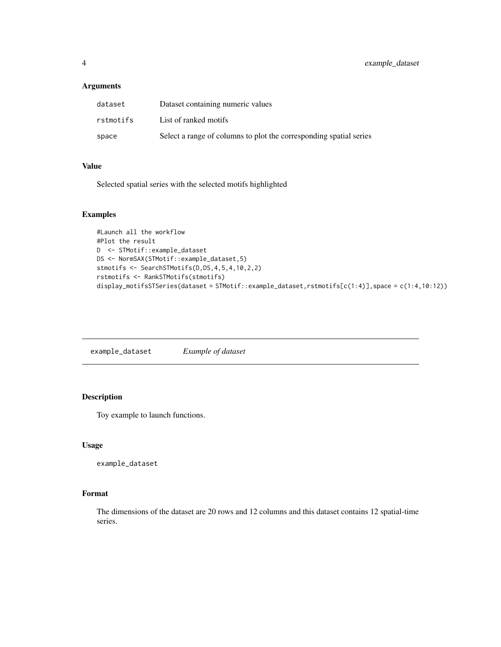# <span id="page-3-0"></span>Arguments

| dataset   | Dataset containing numeric values                                  |
|-----------|--------------------------------------------------------------------|
| rstmotifs | List of ranked motifs                                              |
| space     | Select a range of columns to plot the corresponding spatial series |

#### Value

Selected spatial series with the selected motifs highlighted

#### Examples

```
#Launch all the workflow
#Plot the result
D <- STMotif::example_dataset
DS <- NormSAX(STMotif::example_dataset,5)
stmotifs <- SearchSTMotifs(D,DS,4,5,4,10,2,2)
rstmotifs <- RankSTMotifs(stmotifs)
display_motifsSTSeries(dataset = STMotif::example_dataset,rstmotifs[c(1:4)],space = c(1:4,10:12))
```
example\_dataset *Example of dataset*

# Description

Toy example to launch functions.

#### Usage

example\_dataset

#### Format

The dimensions of the dataset are 20 rows and 12 columns and this dataset contains 12 spatial-time series.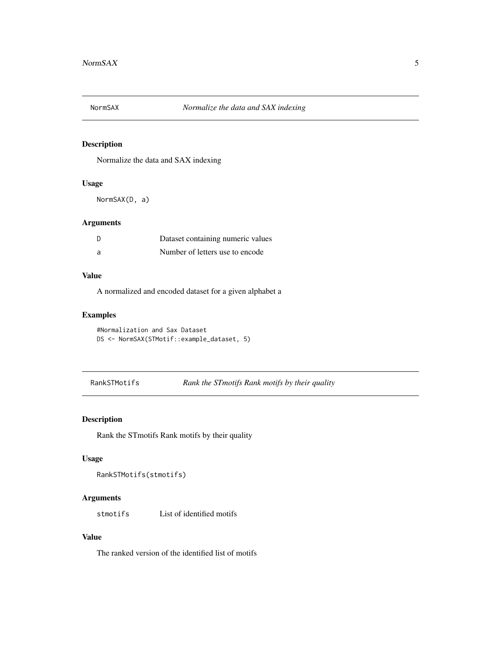<span id="page-4-0"></span>

# Description

Normalize the data and SAX indexing

# Usage

NormSAX(D, a)

# Arguments

|     | Dataset containing numeric values |
|-----|-----------------------------------|
| - a | Number of letters use to encode   |

# Value

A normalized and encoded dataset for a given alphabet a

# Examples

```
#Normalization and Sax Dataset
DS <- NormSAX(STMotif::example_dataset, 5)
```
RankSTMotifs *Rank the STmotifs Rank motifs by their quality*

# Description

Rank the STmotifs Rank motifs by their quality

#### Usage

```
RankSTMotifs(stmotifs)
```
# Arguments

stmotifs List of identified motifs

#### Value

The ranked version of the identified list of motifs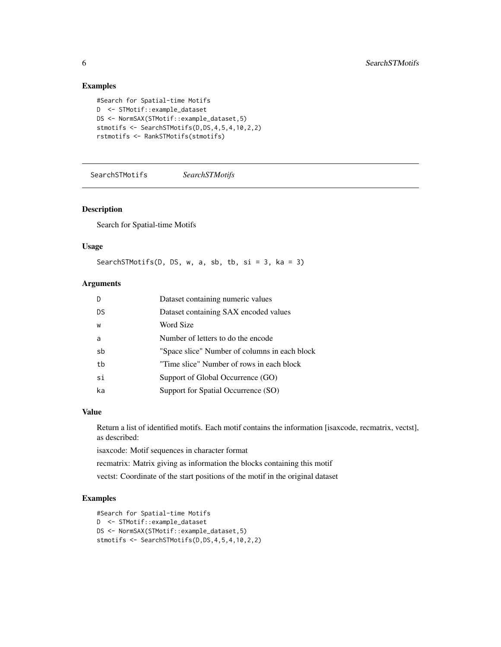# Examples

```
#Search for Spatial-time Motifs
D <- STMotif::example_dataset
DS <- NormSAX(STMotif::example_dataset,5)
stmotifs <- SearchSTMotifs(D,DS,4,5,4,10,2,2)
rstmotifs <- RankSTMotifs(stmotifs)
```
SearchSTMotifs *SearchSTMotifs*

#### Description

Search for Spatial-time Motifs

# Usage

SearchSTMotifs(D, DS, w, a, sb, tb, si = 3, ka = 3)

# Arguments

| D   | Dataset containing numeric values             |
|-----|-----------------------------------------------|
| DS. | Dataset containing SAX encoded values         |
| W   | Word Size                                     |
| a   | Number of letters to do the encode            |
| sb  | "Space slice" Number of columns in each block |
| tb  | "Time slice" Number of rows in each block     |
| si  | Support of Global Occurrence (GO)             |
| ka  | Support for Spatial Occurrence (SO)           |

#### Value

Return a list of identified motifs. Each motif contains the information [isaxcode, recmatrix, vectst], as described:

isaxcode: Motif sequences in character format

recmatrix: Matrix giving as information the blocks containing this motif

vectst: Coordinate of the start positions of the motif in the original dataset

# Examples

```
#Search for Spatial-time Motifs
D <- STMotif::example_dataset
DS <- NormSAX(STMotif::example_dataset,5)
stmotifs <- SearchSTMotifs(D,DS,4,5,4,10,2,2)
```
<span id="page-5-0"></span>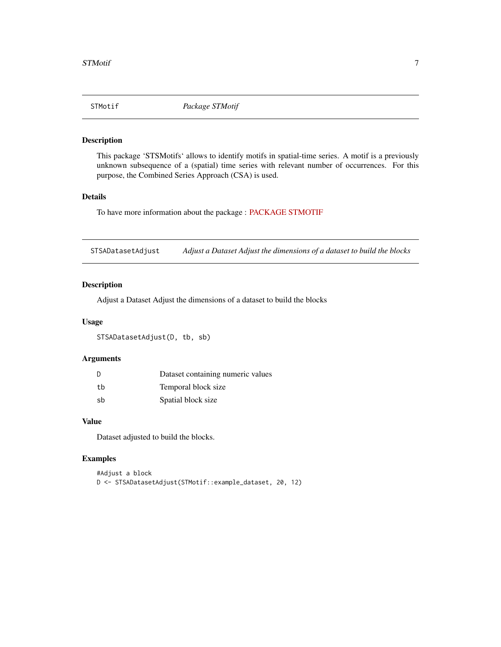<span id="page-6-0"></span>

# Description

This package 'STSMotifs' allows to identify motifs in spatial-time series. A motif is a previously unknown subsequence of a (spatial) time series with relevant number of occurrences. For this purpose, the Combined Series Approach (CSA) is used.

#### Details

To have more information about the package : [PACKAGE STMOTIF](../doc/STMotif.html)

STSADatasetAdjust *Adjust a Dataset Adjust the dimensions of a dataset to build the blocks*

#### Description

Adjust a Dataset Adjust the dimensions of a dataset to build the blocks

#### Usage

STSADatasetAdjust(D, tb, sb)

# Arguments

|    | Dataset containing numeric values |
|----|-----------------------------------|
| th | Temporal block size               |
| sb | Spatial block size                |

#### Value

Dataset adjusted to build the blocks.

#### Examples

```
#Adjust a block
D <- STSADatasetAdjust(STMotif::example_dataset, 20, 12)
```